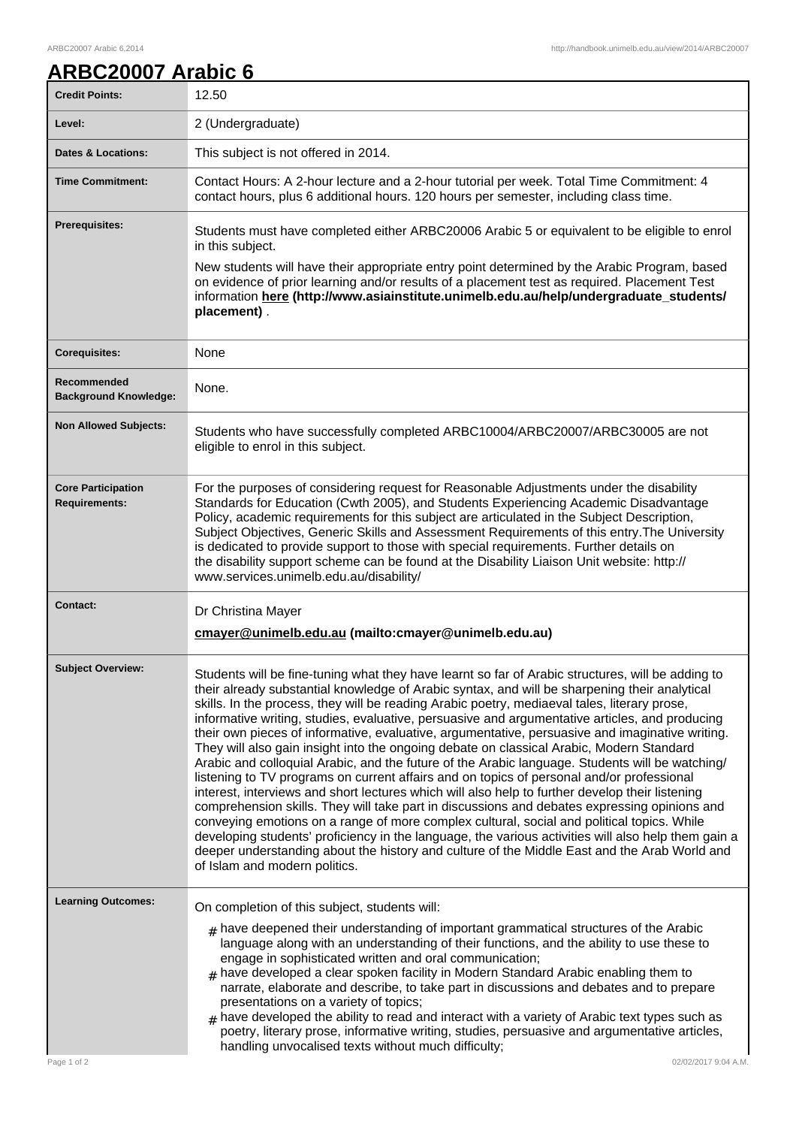## **ARBC20007 Arabic 6**

| <b>Credit Points:</b>                             | 12.50                                                                                                                                                                                                                                                                                                                                                                                                                                                                                                                                                                                                                                                                                                                                                                                                                                                                                                                                                                                                                                                                                                                                                                                                                                                                                                                                        |
|---------------------------------------------------|----------------------------------------------------------------------------------------------------------------------------------------------------------------------------------------------------------------------------------------------------------------------------------------------------------------------------------------------------------------------------------------------------------------------------------------------------------------------------------------------------------------------------------------------------------------------------------------------------------------------------------------------------------------------------------------------------------------------------------------------------------------------------------------------------------------------------------------------------------------------------------------------------------------------------------------------------------------------------------------------------------------------------------------------------------------------------------------------------------------------------------------------------------------------------------------------------------------------------------------------------------------------------------------------------------------------------------------------|
| Level:                                            | 2 (Undergraduate)                                                                                                                                                                                                                                                                                                                                                                                                                                                                                                                                                                                                                                                                                                                                                                                                                                                                                                                                                                                                                                                                                                                                                                                                                                                                                                                            |
| <b>Dates &amp; Locations:</b>                     | This subject is not offered in 2014.                                                                                                                                                                                                                                                                                                                                                                                                                                                                                                                                                                                                                                                                                                                                                                                                                                                                                                                                                                                                                                                                                                                                                                                                                                                                                                         |
| <b>Time Commitment:</b>                           | Contact Hours: A 2-hour lecture and a 2-hour tutorial per week. Total Time Commitment: 4<br>contact hours, plus 6 additional hours. 120 hours per semester, including class time.                                                                                                                                                                                                                                                                                                                                                                                                                                                                                                                                                                                                                                                                                                                                                                                                                                                                                                                                                                                                                                                                                                                                                            |
| <b>Prerequisites:</b>                             | Students must have completed either ARBC20006 Arabic 5 or equivalent to be eligible to enrol<br>in this subject.<br>New students will have their appropriate entry point determined by the Arabic Program, based<br>on evidence of prior learning and/or results of a placement test as required. Placement Test<br>information here (http://www.asiainstitute.unimelb.edu.au/help/undergraduate_students/<br>placement).                                                                                                                                                                                                                                                                                                                                                                                                                                                                                                                                                                                                                                                                                                                                                                                                                                                                                                                    |
| <b>Corequisites:</b>                              | None                                                                                                                                                                                                                                                                                                                                                                                                                                                                                                                                                                                                                                                                                                                                                                                                                                                                                                                                                                                                                                                                                                                                                                                                                                                                                                                                         |
| Recommended<br><b>Background Knowledge:</b>       | None.                                                                                                                                                                                                                                                                                                                                                                                                                                                                                                                                                                                                                                                                                                                                                                                                                                                                                                                                                                                                                                                                                                                                                                                                                                                                                                                                        |
| <b>Non Allowed Subjects:</b>                      | Students who have successfully completed ARBC10004/ARBC20007/ARBC30005 are not<br>eligible to enrol in this subject.                                                                                                                                                                                                                                                                                                                                                                                                                                                                                                                                                                                                                                                                                                                                                                                                                                                                                                                                                                                                                                                                                                                                                                                                                         |
| <b>Core Participation</b><br><b>Requirements:</b> | For the purposes of considering request for Reasonable Adjustments under the disability<br>Standards for Education (Cwth 2005), and Students Experiencing Academic Disadvantage<br>Policy, academic requirements for this subject are articulated in the Subject Description,<br>Subject Objectives, Generic Skills and Assessment Requirements of this entry. The University<br>is dedicated to provide support to those with special requirements. Further details on<br>the disability support scheme can be found at the Disability Liaison Unit website: http://<br>www.services.unimelb.edu.au/disability/                                                                                                                                                                                                                                                                                                                                                                                                                                                                                                                                                                                                                                                                                                                             |
| <b>Contact:</b>                                   | Dr Christina Mayer<br>cmayer@unimelb.edu.au (mailto:cmayer@unimelb.edu.au)                                                                                                                                                                                                                                                                                                                                                                                                                                                                                                                                                                                                                                                                                                                                                                                                                                                                                                                                                                                                                                                                                                                                                                                                                                                                   |
| <b>Subject Overview:</b>                          | Students will be fine-tuning what they have learnt so far of Arabic structures, will be adding to<br>their already substantial knowledge of Arabic syntax, and will be sharpening their analytical<br>skills. In the process, they will be reading Arabic poetry, mediaeval tales, literary prose,<br>informative writing, studies, evaluative, persuasive and argumentative articles, and producing<br>their own pieces of informative, evaluative, argumentative, persuasive and imaginative writing.<br>They will also gain insight into the ongoing debate on classical Arabic, Modern Standard<br>Arabic and colloquial Arabic, and the future of the Arabic language. Students will be watching/<br>listening to TV programs on current affairs and on topics of personal and/or professional<br>interest, interviews and short lectures which will also help to further develop their listening<br>comprehension skills. They will take part in discussions and debates expressing opinions and<br>conveying emotions on a range of more complex cultural, social and political topics. While<br>developing students' proficiency in the language, the various activities will also help them gain a<br>deeper understanding about the history and culture of the Middle East and the Arab World and<br>of Islam and modern politics. |
| <b>Learning Outcomes:</b><br>Page 1 of 2          | On completion of this subject, students will:<br>$_{\text{\#}}$ have deepened their understanding of important grammatical structures of the Arabic<br>language along with an understanding of their functions, and the ability to use these to<br>engage in sophisticated written and oral communication;<br>$_{\rm #}$ have developed a clear spoken facility in Modern Standard Arabic enabling them to<br>narrate, elaborate and describe, to take part in discussions and debates and to prepare<br>presentations on a variety of topics;<br>have developed the ability to read and interact with a variety of Arabic text types such as<br>#<br>poetry, literary prose, informative writing, studies, persuasive and argumentative articles,<br>handling unvocalised texts without much difficulty;<br>02/02/2017 9:04 A.M.                                                                                                                                                                                                                                                                                                                                                                                                                                                                                                            |